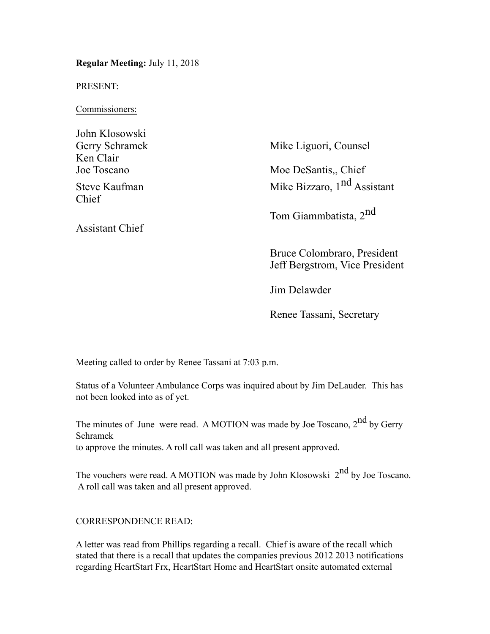**Regular Meeting:** July 11, 2018

PRESENT:

Commissioners:

| John Klosowski         |                                                                                                |
|------------------------|------------------------------------------------------------------------------------------------|
| Gerry Schramek         | Mike Liguori, Counsel                                                                          |
| Ken Clair              |                                                                                                |
| Joe Toscano            | Moe DeSantis., Chief                                                                           |
| Steve Kaufman<br>Chief | Mike Bizzaro, 1 <sup>nd</sup> Assistant                                                        |
| <b>Assistant Chief</b> | Tom Giammbatista, 2 <sup>nd</sup>                                                              |
|                        | $D_{\text{max}}$ , $C_1$ , $C_2$ , $C_3$ , $C_4$ , $C_5$ , $D_{\text{max}}$ , $D_{\text{max}}$ |

Bruce Colombraro, President Jeff Bergstrom, Vice President

Jim Delawder

Renee Tassani, Secretary

Meeting called to order by Renee Tassani at 7:03 p.m.

Status of a Volunteer Ambulance Corps was inquired about by Jim DeLauder. This has not been looked into as of yet.

The minutes of June were read. A MOTION was made by Joe Toscano,  $2<sup>nd</sup>$  by Gerry Schramek to approve the minutes. A roll call was taken and all present approved.

The vouchers were read. A MOTION was made by John Klosowski  $2^{nd}$  by Joe Toscano. A roll call was taken and all present approved.

# CORRESPONDENCE READ:

A letter was read from Phillips regarding a recall. Chief is aware of the recall which stated that there is a recall that updates the companies previous 2012 2013 notifications regarding HeartStart Frx, HeartStart Home and HeartStart onsite automated external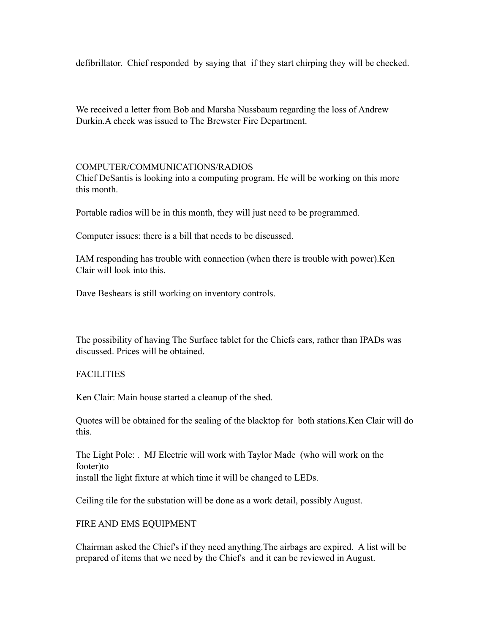defibrillator. Chief responded by saying that if they start chirping they will be checked.

We received a letter from Bob and Marsha Nussbaum regarding the loss of Andrew Durkin.A check was issued to The Brewster Fire Department.

### COMPUTER/COMMUNICATIONS/RADIOS

Chief DeSantis is looking into a computing program. He will be working on this more this month.

Portable radios will be in this month, they will just need to be programmed.

Computer issues: there is a bill that needs to be discussed.

IAM responding has trouble with connection (when there is trouble with power).Ken Clair will look into this.

Dave Beshears is still working on inventory controls.

The possibility of having The Surface tablet for the Chiefs cars, rather than IPADs was discussed. Prices will be obtained.

# FACILITIES

Ken Clair: Main house started a cleanup of the shed.

Quotes will be obtained for the sealing of the blacktop for both stations.Ken Clair will do this.

The Light Pole: . MJ Electric will work with Taylor Made (who will work on the footer)to install the light fixture at which time it will be changed to LEDs.

Ceiling tile for the substation will be done as a work detail, possibly August.

# FIRE AND EMS EQUIPMENT

Chairman asked the Chief's if they need anything.The airbags are expired. A list will be prepared of items that we need by the Chief's and it can be reviewed in August.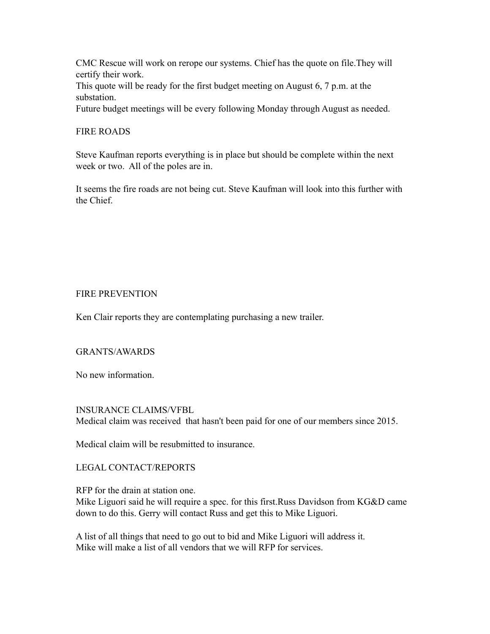CMC Rescue will work on rerope our systems. Chief has the quote on file.They will certify their work.

This quote will be ready for the first budget meeting on August 6, 7 p.m. at the substation.

Future budget meetings will be every following Monday through August as needed.

### FIRE ROADS

Steve Kaufman reports everything is in place but should be complete within the next week or two. All of the poles are in.

It seems the fire roads are not being cut. Steve Kaufman will look into this further with the Chief.

#### FIRE PREVENTION

Ken Clair reports they are contemplating purchasing a new trailer.

#### GRANTS/AWARDS

No new information.

#### INSURANCE CLAIMS/VFBL

Medical claim was received that hasn't been paid for one of our members since 2015.

Medical claim will be resubmitted to insurance.

# LEGAL CONTACT/REPORTS

RFP for the drain at station one.

Mike Liguori said he will require a spec. for this first.Russ Davidson from KG&D came down to do this. Gerry will contact Russ and get this to Mike Liguori.

A list of all things that need to go out to bid and Mike Liguori will address it. Mike will make a list of all vendors that we will RFP for services.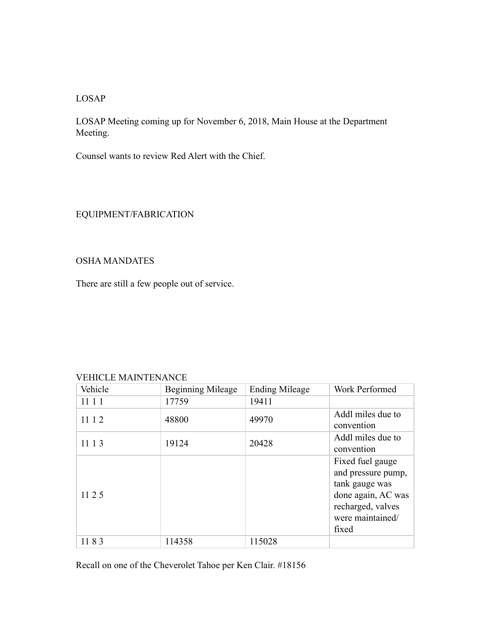LOSAP

LOSAP Meeting coming up for November 6, 2018, Main House at the Department Meeting.

Counsel wants to review Red Alert with the Chief.

# EQUIPMENT/FABRICATION

# OSHA MANDATES

There are still a few people out of service.

#### VEHICLE MAINTENANCE

| Vehicle | <b>Beginning Mileage</b> | <b>Ending Mileage</b> | Work Performed                                                                                                                   |
|---------|--------------------------|-----------------------|----------------------------------------------------------------------------------------------------------------------------------|
| 1111    | 17759                    | 19411                 |                                                                                                                                  |
| 11 1 2  | 48800                    | 49970                 | Addl miles due to<br>convention                                                                                                  |
| 11 1 3  | 19124                    | 20428                 | Addl miles due to<br>convention                                                                                                  |
| 11 2 5  |                          |                       | Fixed fuel gauge<br>and pressure pump,<br>tank gauge was<br>done again, AC was<br>recharged, valves<br>were maintained/<br>fixed |
| 1183    | 114358                   | 115028                |                                                                                                                                  |

Recall on one of the Cheverolet Tahoe per Ken Clair. #18156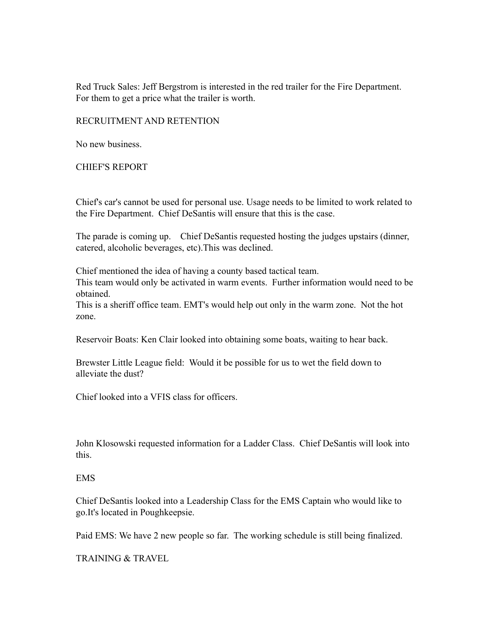Red Truck Sales: Jeff Bergstrom is interested in the red trailer for the Fire Department. For them to get a price what the trailer is worth.

RECRUITMENT AND RETENTION

No new business.

CHIEF'S REPORT

Chief's car's cannot be used for personal use. Usage needs to be limited to work related to the Fire Department. Chief DeSantis will ensure that this is the case.

The parade is coming up. Chief DeSantis requested hosting the judges upstairs (dinner, catered, alcoholic beverages, etc).This was declined.

Chief mentioned the idea of having a county based tactical team. This team would only be activated in warm events. Further information would need to be obtained.

This is a sheriff office team. EMT's would help out only in the warm zone. Not the hot zone.

Reservoir Boats: Ken Clair looked into obtaining some boats, waiting to hear back.

Brewster Little League field: Would it be possible for us to wet the field down to alleviate the dust?

Chief looked into a VFIS class for officers.

John Klosowski requested information for a Ladder Class. Chief DeSantis will look into this.

#### EMS

Chief DeSantis looked into a Leadership Class for the EMS Captain who would like to go.It's located in Poughkeepsie.

Paid EMS: We have 2 new people so far. The working schedule is still being finalized.

TRAINING & TRAVEL